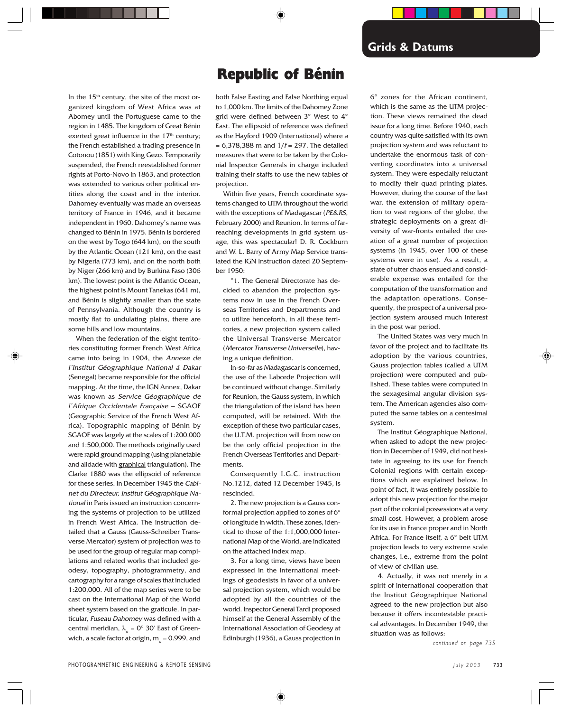In the 15<sup>th</sup> century, the site of the most organized kingdom of West Africa was at Abomey until the Portuguese came to the region in 1485. The kingdom of Great Bénin exerted great influence in the  $17<sup>th</sup>$  century; the French established a trading presence in Cotonou (1851) with King Gezo. Temporarily suspended, the French reestablished former rights at Porto-Novo in 1863, and protection was extended to various other political entities along the coast and in the interior. Dahomey eventually was made an overseas territory of France in 1946, and it became independent in 1960. Dahomey's name was changed to Bénin in 1975. Bénin is bordered on the west by Togo (644 km), on the south by the Atlantic Ocean (121 km), on the east by Nigeria (773 km), and on the north both by Niger (266 km) and by Burkina Faso (306 km). The lowest point is the Atlantic Ocean, the highest point is Mount Tanekas (641 m), and Bénin is slightly smaller than the state of Pennsylvania. Although the country is mostly flat to undulating plains, there are some hills and low mountains.

When the federation of the eight territories constituting former French West Africa came into being in 1904, the Annexe de l'Institut Géographique National á Dakar (Senegal) became responsible for the official mapping. At the time, the IGN Annex, Dakar was known as Service Géographique de l'Afrique Occidentale Française – SGAOF (Geographic Service of the French West Africa). Topographic mapping of Bénin by SGAOF was largely at the scales of 1:200,000 and 1:500,000. The methods originally used were rapid ground mapping (using planetable and alidade with graphical triangulation). The Clarke 1880 was the ellipsoid of reference for these series. In December 1945 the Cabinet du Directeur, Institut Géographique National in Paris issued an instruction concerning the systems of projection to be utilized in French West Africa. The instruction detailed that a Gauss (Gauss-Schreiber Transverse Mercator) system of projection was to be used for the group of regular map compilations and related works that included geodesy, topography, photogrammetry, and cartography for a range of scales that included 1:200,000. All of the map series were to be cast on the International Map of the World sheet system based on the graticule. In particular, Fuseau Dahomey was defined with a central meridian,  $\lambda_{o} = 0^{\circ}$  30' East of Greenwich, a scale factor at origin,  $m_{\circ}$  = 0.999, and

# Republic of Bénin

both False Easting and False Northing equal to 1,000 km. The limits of the Dahomey Zone grid were defined between 3º West to 4º East. The ellipsoid of reference was defined as the Hayford 1909 (International) where <sup>a</sup>  $= 6,378,388$  m and  $1/f = 297$ . The detailed measures that were to be taken by the Colonial Inspector Generals in charge included training their staffs to use the new tables of projection.

Within five years, French coordinate systems changed to UTM throughout the world with the exceptions of Madagascar (PE&RS, February 2000) and Reunion. In terms of farreaching developments in grid system usage, this was spectacular! D. R. Cockburn and W. L. Barry of Army Map Service translated the IGN Instruction dated 20 September 1950:

"1. The General Directorate has decided to abandon the projection systems now in use in the French Overseas Territories and Departments and to utilize henceforth, in all these territories, a new projection system called the Universal Transverse Mercator (Mercator Transverse Universelle), having a unique definition.

In-so-far as Madagascar is concerned, the use of the Laborde Projection will be continued without change. Similarly for Reunion, the Gauss system, in which the triangulation of the island has been computed, will be retained. With the exception of these two particular cases, the U.T.M. projection will from now on be the only official projection in the French Overseas Territories and Departments.

Consequently I.G.C. instruction No.1212, dated 12 December 1945, is rescinded.

2. The new projection is a Gauss conformal projection applied to zones of 6º of longitude in width. These zones, identical to those of the 1:1,000,000 International Map of the World, are indicated on the attached index map.

3. For a long time, views have been expressed in the international meetings of geodesists in favor of a universal projection system, which would be adopted by all the countries of the world. Inspector General Tardi proposed himself at the General Assembly of the International Association of Geodesy at Edinburgh (1936), a Gauss projection in

6º zones for the African continent, which is the same as the UTM projection. These views remained the dead issue for a long time. Before 1940, each country was quite satisfied with its own projection system and was reluctant to undertake the enormous task of converting coordinates into a universal system. They were especially reluctant to modify their quad printing plates. However, during the course of the last war, the extension of military operation to vast regions of the globe, the strategic deployments on a great diversity of war-fronts entailed the creation of a great number of projection systems (in 1945, over 100 of these systems were in use). As a result, a state of utter chaos ensued and considerable expense was entailed for the computation of the transformation and the adaptation operations. Consequently, the prospect of a universal projection system aroused much interest in the post war period.

The United States was very much in favor of the project and to facilitate its adoption by the various countries, Gauss projection tables (called a UTM projection) were computed and published. These tables were computed in the sexagesimal angular division system. The American agencies also computed the same tables on a centesimal system.

The Institut Géographique National, when asked to adopt the new projection in December of 1949, did not hesitate in agreeing to its use for French Colonial regions with certain exceptions which are explained below. In point of fact, it was entirely possible to adopt this new projection for the major part of the colonial possessions at a very small cost. However, a problem arose for its use in France proper and in North Africa. For France itself, a 6º belt UTM projection leads to very extreme scale changes, i.e., extreme from the point of view of civilian use.

4. Actually, it was not merely in a spirit of international cooperation that the Institut Géographique National agreed to the new projection but also because it offers incontestable practical advantages. In December 1949, the situation was as follows:

*continued on page 735*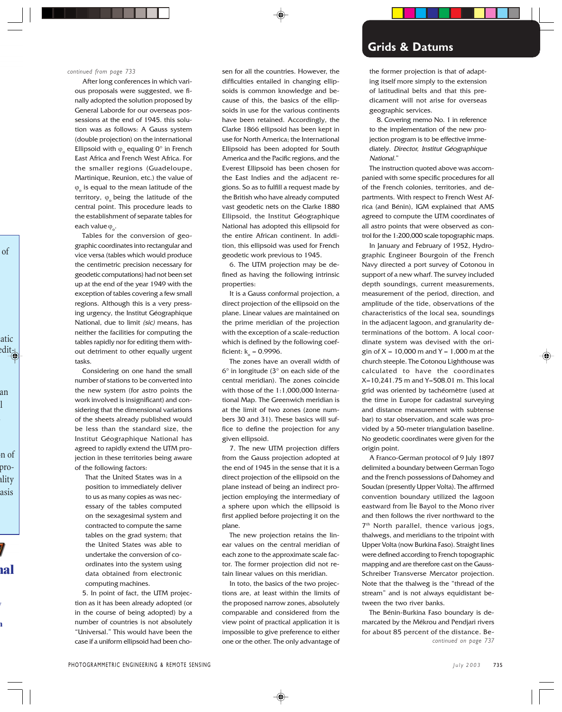#### *continued from page 733*

After long conferences in which various proposals were suggested, we finally adopted the solution proposed by General Laborde for our overseas possessions at the end of 1945. this solution was as follows: A Gauss system (double projection) on the international Ellipsoid with  $\varphi_{\circ}$  equaling 0° in French East Africa and French West Africa. For the smaller regions (Guadeloupe, Martinique, Reunion, etc.) the value of  $\varphi$ <sub>o</sub> is equal to the mean latitude of the territory,  $\varphi$  being the latitude of the central point. This procedure leads to the establishment of separate tables for each value  $\varphi_{o}$ .

Tables for the conversion of geographic coordinates into rectangular and vice versa (tables which would produce the centimetric precision necessary for geodetic computations) had not been set up at the end of the year 1949 with the exception of tables covering a few small regions. Although this is a very pressing urgency, the Institut Géographique National, due to limit (sic) means, has neither the facilities for computing the tables rapidly nor for editing them without detriment to other equally urgent tasks.

Considering on one hand the small number of stations to be converted into the new system (for astro points the work involved is insignificant) and considering that the dimensional variations of the sheets already published would be less than the standard size, the Institut Géographique National has agreed to rapidly extend the UTM projection in these territories being aware of the following factors:

That the United States was in a position to immediately deliver to us as many copies as was necessary of the tables computed on the sexagesimal system and contracted to compute the same tables on the grad system; that the United States was able to undertake the conversion of coordinates into the system using data obtained from electronic computing machines.

5. In point of fact, the UTM projection as it has been already adopted (or in the course of being adopted) by a number of countries is not absolutely "Universal." This would have been the case if a uniform ellipsoid had been cho-

sen for all the countries. However, the difficulties entailed in changing ellipsoids is common knowledge and because of this, the basics of the ellipsoids in use for the various continents have been retained. Accordingly, the Clarke 1866 ellipsoid has been kept in use for North America; the International Ellipsoid has been adopted for South America and the Pacific regions, and the Everest Ellipsoid has been chosen for the East Indies and the adjacent regions. So as to fulfill a request made by the British who have already computed vast geodetic nets on the Clarke 1880 Ellipsoid, the Institut Géographique National has adopted this ellipsoid for the entire African continent. In addition, this ellipsoid was used for French geodetic work previous to 1945.

6. The UTM projection may be defined as having the following intrinsic properties:

It is a Gauss conformal projection, a direct projection of the ellipsoid on the plane. Linear values are maintained on the prime meridian of the projection with the exception of a scale-reduction which is defined by the following coefficient:  $k_{o} = 0.9996$ .

The zones have an overall width of 6° in longitude (3° on each side of the central meridian). The zones coincide with those of the 1:1,000,000 International Map. The Greenwich meridian is at the limit of two zones (zone numbers 30 and 31). These basics will suffice to define the projection for any given ellipsoid.

7. The new UTM projection differs from the Gauss projection adopted at the end of 1945 in the sense that it is a direct projection of the ellipsoid on the plane instead of being an indirect projection employing the intermediary of a sphere upon which the ellipsoid is first applied before projecting it on the plane.

The new projection retains the linear values on the central meridian of each zone to the approximate scale factor. The former projection did not retain linear values on this meridian.

In toto, the basics of the two projections are, at least within the limits of the proposed narrow zones, absolutely comparable and considered from the view point of practical application it is impossible to give preference to either one or the other. The only advantage of

## **Grids & Datums**

the former projection is that of adapting itself more simply to the extension of latitudinal belts and that this predicament will not arise for overseas geographic services.

8. Covering memo No. 1 in reference to the implementation of the new projection program is to be effective immediately. Director, Institut Géographique National."

The instruction quoted above was accompanied with some specific procedures for all of the French colonies, territories, and departments. With respect to French West Africa (and Bénin), IGM explained that AMS agreed to compute the UTM coordinates of all astro points that were observed as control for the 1:200,000 scale topographic maps.

In January and February of 1952, Hydrographic Engineer Bourgoin of the French Navy directed a port survey of Cotonou in support of a new wharf. The survey included depth soundings, current measurements, measurement of the period, direction, and amplitude of the tide, observations of the characteristics of the local sea, soundings in the adjacent lagoon, and granularity determinations of the bottom. A local coordinate system was devised with the origin of  $X = 10,000$  m and  $Y = 1,000$  m at the church steeple. The Cotonou Lighthouse was calculated to have the coordinates X=10,241.75 m and Y=508.01 m. This local grid was oriented by tachéomètre (used at the time in Europe for cadastral surveying and distance measurement with subtense bar) to star observation, and scale was provided by a 50-meter triangulation baseline. No geodetic coordinates were given for the origin point.

A Franco-German protocol of 9 July 1897 delimited a boundary between German Togo and the French possessions of Dahomey and Soudan (presently Upper Volta). The affirmed convention boundary utilized the lagoon eastward from Île Bayol to the Mono river and then follows the river northward to the  $7<sup>th</sup>$  North parallel, thence various jogs, thalwegs, and meridians to the tripoint with Upper Volta (now Burkina Faso). Straight lines were defined according to French topographic mapping and are therefore cast on the Gauss-Schreiber Transverse Mercator projection. Note that the thalweg is the "thread of the stream" and is not always equidistant between the two river banks.

The Bénin-Burkina Faso boundary is demarcated by the Mékrou and Pendjari rivers for about 85 percent of the distance. Be*continued on page 737*